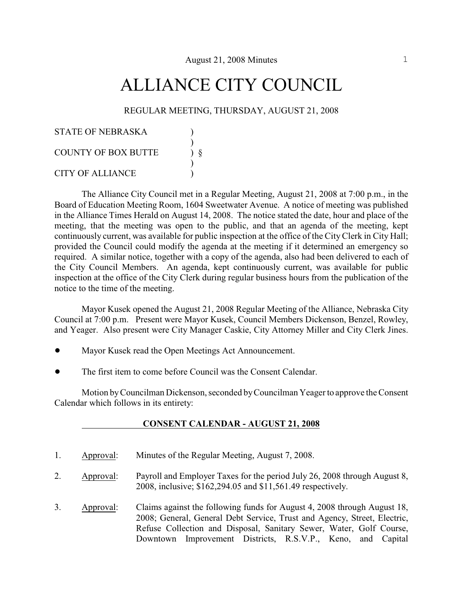# ALLIANCE CITY COUNCIL

#### REGULAR MEETING, THURSDAY, AUGUST 21, 2008

| STATE OF NEBRASKA          |  |
|----------------------------|--|
| <b>COUNTY OF BOX BUTTE</b> |  |
| <b>CITY OF ALLIANCE</b>    |  |

The Alliance City Council met in a Regular Meeting, August 21, 2008 at 7:00 p.m., in the Board of Education Meeting Room, 1604 Sweetwater Avenue. A notice of meeting was published in the Alliance Times Herald on August 14, 2008. The notice stated the date, hour and place of the meeting, that the meeting was open to the public, and that an agenda of the meeting, kept continuously current, was available for public inspection at the office of the City Clerk in City Hall; provided the Council could modify the agenda at the meeting if it determined an emergency so required. A similar notice, together with a copy of the agenda, also had been delivered to each of the City Council Members. An agenda, kept continuously current, was available for public inspection at the office of the City Clerk during regular business hours from the publication of the notice to the time of the meeting.

Mayor Kusek opened the August 21, 2008 Regular Meeting of the Alliance, Nebraska City Council at 7:00 p.m. Present were Mayor Kusek, Council Members Dickenson, Benzel, Rowley, and Yeager. Also present were City Manager Caskie, City Attorney Miller and City Clerk Jines.

- Mayor Kusek read the Open Meetings Act Announcement.
- ! The first item to come before Council was the Consent Calendar.

Motion by Councilman Dickenson, seconded by Councilman Yeager to approve the Consent Calendar which follows in its entirety:

#### **CONSENT CALENDAR - AUGUST 21, 2008**

- 1. Approval: Minutes of the Regular Meeting, August 7, 2008.
- 2. Approval: Payroll and Employer Taxes for the period July 26, 2008 through August 8, 2008, inclusive; \$162,294.05 and \$11,561.49 respectively.
- 3. Approval: Claims against the following funds for August 4, 2008 through August 18, 2008; General, General Debt Service, Trust and Agency, Street, Electric, Refuse Collection and Disposal, Sanitary Sewer, Water, Golf Course, Downtown Improvement Districts, R.S.V.P., Keno, and Capital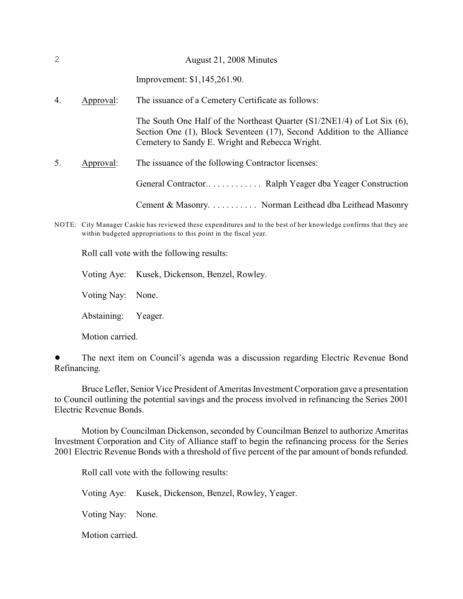| 2  |           | August 21, 2008 Minutes                                                                                                                                                                                   |
|----|-----------|-----------------------------------------------------------------------------------------------------------------------------------------------------------------------------------------------------------|
|    |           | Improvement: \$1,145,261.90.                                                                                                                                                                              |
| 4. | Approval: | The issuance of a Cemetery Certificate as follows:                                                                                                                                                        |
|    |           | The South One Half of the Northeast Quarter $(S1/2NE1/4)$ of Lot Six $(6)$ ,<br>Section One (1), Block Seventeen (17), Second Addition to the Alliance<br>Cemetery to Sandy E. Wright and Rebecca Wright. |
| 5. | Approval: | The issuance of the following Contractor licenses:                                                                                                                                                        |
|    |           |                                                                                                                                                                                                           |
|    |           | Cement & Masonry. Norman Leithead dba Leithead Masonry                                                                                                                                                    |
|    |           |                                                                                                                                                                                                           |

NOTE: City Manager Caskie has reviewed these expenditures and to the best of her knowledge confirms that they are within budgeted appropriations to this point in the fiscal year.

Roll call vote with the following results:

Voting Aye: Kusek, Dickenson, Benzel, Rowley.

Voting Nay: None.

Abstaining: Yeager.

Motion carried.

• The next item on Council's agenda was a discussion regarding Electric Revenue Bond Refinancing.

Bruce Lefler, Senior Vice President of Ameritas Investment Corporation gave a presentation to Council outlining the potential savings and the process involved in refinancing the Series 2001 Electric Revenue Bonds.

Motion by Councilman Dickenson, seconded by Councilman Benzel to authorize Ameritas Investment Corporation and City of Alliance staff to begin the refinancing process for the Series 2001 Electric Revenue Bonds with a threshold of five percent of the par amount of bonds refunded.

Roll call vote with the following results:

Voting Aye: Kusek, Dickenson, Benzel, Rowley, Yeager.

Voting Nay: None.

Motion carried.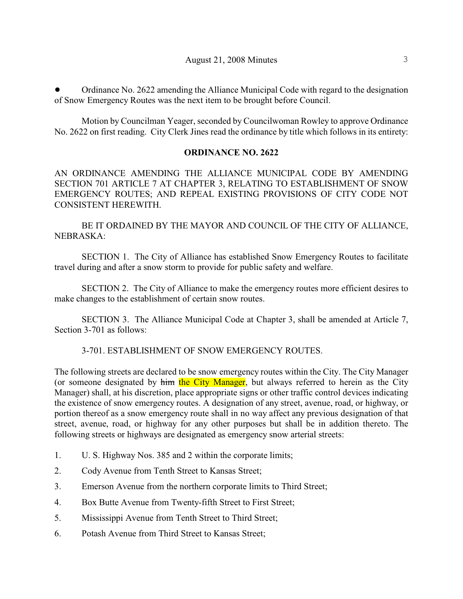! Ordinance No. 2622 amending the Alliance Municipal Code with regard to the designation of Snow Emergency Routes was the next item to be brought before Council.

Motion by Councilman Yeager, seconded by Councilwoman Rowley to approve Ordinance No. 2622 on first reading. City Clerk Jines read the ordinance by title which follows in its entirety:

#### **ORDINANCE NO. 2622**

AN ORDINANCE AMENDING THE ALLIANCE MUNICIPAL CODE BY AMENDING SECTION 701 ARTICLE 7 AT CHAPTER 3, RELATING TO ESTABLISHMENT OF SNOW EMERGENCY ROUTES; AND REPEAL EXISTING PROVISIONS OF CITY CODE NOT CONSISTENT HEREWITH.

BE IT ORDAINED BY THE MAYOR AND COUNCIL OF THE CITY OF ALLIANCE, NEBRASKA:

SECTION 1. The City of Alliance has established Snow Emergency Routes to facilitate travel during and after a snow storm to provide for public safety and welfare.

SECTION 2. The City of Alliance to make the emergency routes more efficient desires to make changes to the establishment of certain snow routes.

SECTION 3. The Alliance Municipal Code at Chapter 3, shall be amended at Article 7, Section 3-701 as follows:

## 3-701. ESTABLISHMENT OF SNOW EMERGENCY ROUTES.

The following streets are declared to be snow emergency routes within the City. The City Manager (or someone designated by him the City Manager, but always referred to herein as the City Manager) shall, at his discretion, place appropriate signs or other traffic control devices indicating the existence of snow emergency routes. A designation of any street, avenue, road, or highway, or portion thereof as a snow emergency route shall in no way affect any previous designation of that street, avenue, road, or highway for any other purposes but shall be in addition thereto. The following streets or highways are designated as emergency snow arterial streets:

- 1. U. S. Highway Nos. 385 and 2 within the corporate limits;
- 2. Cody Avenue from Tenth Street to Kansas Street;
- 3. Emerson Avenue from the northern corporate limits to Third Street;
- 4. Box Butte Avenue from Twenty-fifth Street to First Street;
- 5. Mississippi Avenue from Tenth Street to Third Street;
- 6. Potash Avenue from Third Street to Kansas Street;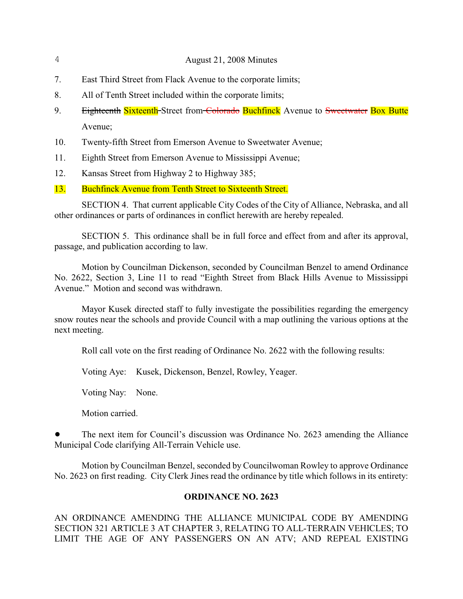- 7. East Third Street from Flack Avenue to the corporate limits;
- 8. All of Tenth Street included within the corporate limits;
- 9. Eighteenth Sixteenth-Street from Colorado Buchfinck Avenue to Sweetwater Box Butte Avenue;
- 10. Twenty-fifth Street from Emerson Avenue to Sweetwater Avenue;
- 11. Eighth Street from Emerson Avenue to Mississippi Avenue;
- 12. Kansas Street from Highway 2 to Highway 385;
- 13. Buchfinck Avenue from Tenth Street to Sixteenth Street.

SECTION 4. That current applicable City Codes of the City of Alliance, Nebraska, and all other ordinances or parts of ordinances in conflict herewith are hereby repealed.

SECTION 5. This ordinance shall be in full force and effect from and after its approval, passage, and publication according to law.

Motion by Councilman Dickenson, seconded by Councilman Benzel to amend Ordinance No. 2622, Section 3, Line 11 to read "Eighth Street from Black Hills Avenue to Mississippi Avenue." Motion and second was withdrawn.

Mayor Kusek directed staff to fully investigate the possibilities regarding the emergency snow routes near the schools and provide Council with a map outlining the various options at the next meeting.

Roll call vote on the first reading of Ordinance No. 2622 with the following results:

Voting Aye: Kusek, Dickenson, Benzel, Rowley, Yeager.

Voting Nay: None.

Motion carried.

! The next item for Council's discussion was Ordinance No. 2623 amending the Alliance Municipal Code clarifying All-Terrain Vehicle use.

Motion by Councilman Benzel, seconded by Councilwoman Rowley to approve Ordinance No. 2623 on first reading. City Clerk Jines read the ordinance by title which follows in its entirety:

## **ORDINANCE NO. 2623**

AN ORDINANCE AMENDING THE ALLIANCE MUNICIPAL CODE BY AMENDING SECTION 321 ARTICLE 3 AT CHAPTER 3, RELATING TO ALL-TERRAIN VEHICLES; TO LIMIT THE AGE OF ANY PASSENGERS ON AN ATV; AND REPEAL EXISTING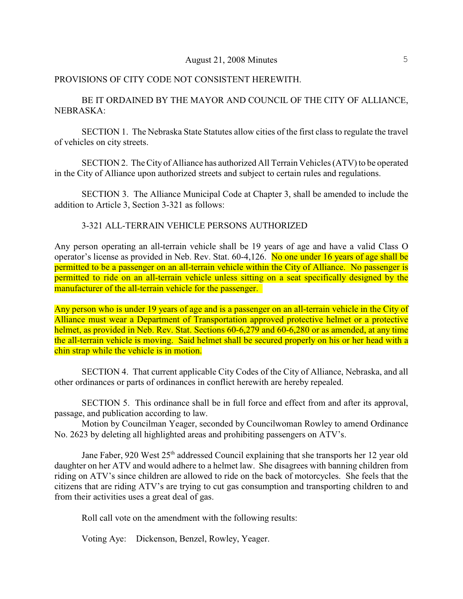#### PROVISIONS OF CITY CODE NOT CONSISTENT HEREWITH.

BE IT ORDAINED BY THE MAYOR AND COUNCIL OF THE CITY OF ALLIANCE, NEBRASKA:

SECTION 1. The Nebraska State Statutes allow cities of the first class to regulate the travel of vehicles on city streets.

SECTION 2. The City of Alliance has authorized All Terrain Vehicles (ATV) to be operated in the City of Alliance upon authorized streets and subject to certain rules and regulations.

SECTION 3. The Alliance Municipal Code at Chapter 3, shall be amended to include the addition to Article 3, Section 3-321 as follows:

#### 3-321 ALL-TERRAIN VEHICLE PERSONS AUTHORIZED

Any person operating an all-terrain vehicle shall be 19 years of age and have a valid Class O operator's license as provided in Neb. Rev. Stat. 60-4,126. No one under 16 years of age shall be permitted to be a passenger on an all-terrain vehicle within the City of Alliance. No passenger is permitted to ride on an all-terrain vehicle unless sitting on a seat specifically designed by the manufacturer of the all-terrain vehicle for the passenger.

Any person who is under 19 years of age and is a passenger on an all-terrain vehicle in the City of Alliance must wear a Department of Transportation approved protective helmet or a protective helmet, as provided in Neb. Rev. Stat. Sections 60-6,279 and 60-6,280 or as amended, at any time the all-terrain vehicle is moving. Said helmet shall be secured properly on his or her head with a chin strap while the vehicle is in motion.

SECTION 4. That current applicable City Codes of the City of Alliance, Nebraska, and all other ordinances or parts of ordinances in conflict herewith are hereby repealed.

SECTION 5. This ordinance shall be in full force and effect from and after its approval, passage, and publication according to law.

Motion by Councilman Yeager, seconded by Councilwoman Rowley to amend Ordinance No. 2623 by deleting all highlighted areas and prohibiting passengers on ATV's.

Jane Faber, 920 West 25<sup>th</sup> addressed Council explaining that she transports her 12 year old daughter on her ATV and would adhere to a helmet law. She disagrees with banning children from riding on ATV's since children are allowed to ride on the back of motorcycles. She feels that the citizens that are riding ATV's are trying to cut gas consumption and transporting children to and from their activities uses a great deal of gas.

Roll call vote on the amendment with the following results:

Voting Aye: Dickenson, Benzel, Rowley, Yeager.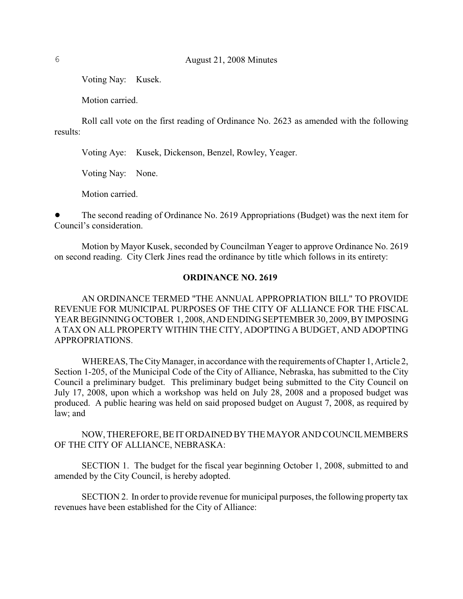Voting Nay: Kusek.

Motion carried.

Roll call vote on the first reading of Ordinance No. 2623 as amended with the following results:

Voting Aye: Kusek, Dickenson, Benzel, Rowley, Yeager.

Voting Nay: None.

Motion carried.

! The second reading of Ordinance No. 2619 Appropriations (Budget) was the next item for Council's consideration.

Motion by Mayor Kusek, seconded by Councilman Yeager to approve Ordinance No. 2619 on second reading. City Clerk Jines read the ordinance by title which follows in its entirety:

#### **ORDINANCE NO. 2619**

AN ORDINANCE TERMED "THE ANNUAL APPROPRIATION BILL" TO PROVIDE REVENUE FOR MUNICIPAL PURPOSES OF THE CITY OF ALLIANCE FOR THE FISCAL YEAR BEGINNING OCTOBER 1, 2008, AND ENDING SEPTEMBER 30, 2009, BY IMPOSING A TAX ON ALL PROPERTY WITHIN THE CITY, ADOPTING A BUDGET, AND ADOPTING APPROPRIATIONS.

WHEREAS, The City Manager, in accordance with the requirements of Chapter 1, Article 2, Section 1-205, of the Municipal Code of the City of Alliance, Nebraska, has submitted to the City Council a preliminary budget. This preliminary budget being submitted to the City Council on July 17, 2008, upon which a workshop was held on July 28, 2008 and a proposed budget was produced. A public hearing was held on said proposed budget on August 7, 2008, as required by law; and

#### NOW, THEREFORE, BE IT ORDAINED BY THE MAYOR AND COUNCIL MEMBERS OF THE CITY OF ALLIANCE, NEBRASKA:

SECTION 1. The budget for the fiscal year beginning October 1, 2008, submitted to and amended by the City Council, is hereby adopted.

SECTION 2. In order to provide revenue for municipal purposes, the following property tax revenues have been established for the City of Alliance: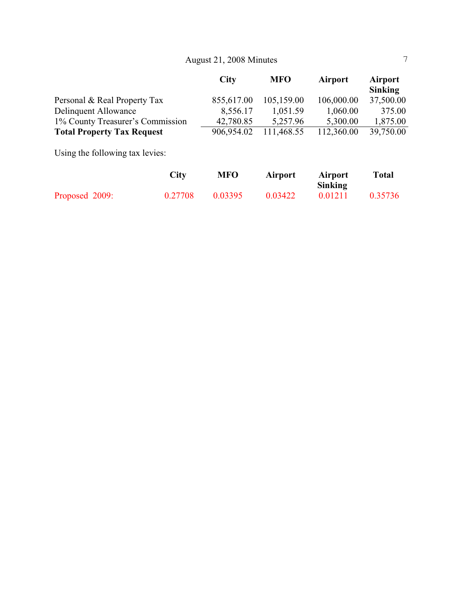|                                   | City       | <b>MFO</b> | <b>Airport</b> | <b>Airport</b><br><b>Sinking</b> |
|-----------------------------------|------------|------------|----------------|----------------------------------|
| Personal & Real Property Tax      | 855,617.00 | 105,159.00 | 106,000.00     | 37,500.00                        |
| Delinquent Allowance              | 8,556.17   | 1,051.59   | 1,060.00       | 375.00                           |
| 1% County Treasurer's Commission  | 42,780.85  | 5,257.96   | 5,300.00       | 1,875.00                         |
| <b>Total Property Tax Request</b> | 906,954.02 | 111,468.55 | 112,360.00     | 39,750.00                        |
| Using the following tax levies:   |            |            |                |                                  |

|                | City    | MFO     | <b>Airport</b> | Airport        | <b>Total</b> |
|----------------|---------|---------|----------------|----------------|--------------|
|                |         |         |                | <b>Sinking</b> |              |
| Proposed 2009: | 0.27708 | 0.03395 | 0.03422        | 0.01211        | 0.35736      |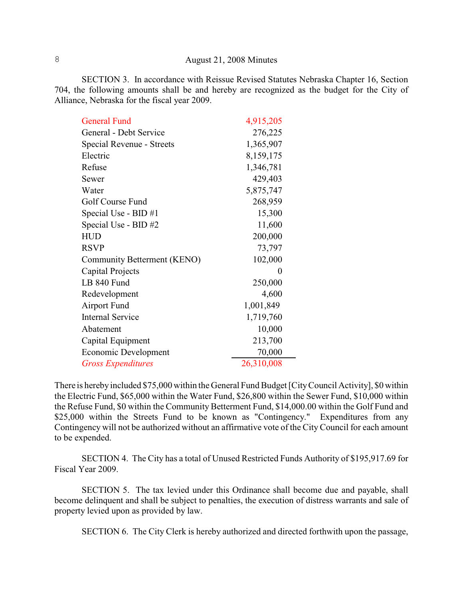SECTION 3. In accordance with Reissue Revised Statutes Nebraska Chapter 16, Section 704, the following amounts shall be and hereby are recognized as the budget for the City of Alliance, Nebraska for the fiscal year 2009.

| <b>General Fund</b>         | 4,915,205  |
|-----------------------------|------------|
| General - Debt Service      | 276,225    |
| Special Revenue - Streets   | 1,365,907  |
| Electric                    | 8,159,175  |
| Refuse                      | 1,346,781  |
| Sewer                       | 429,403    |
| Water                       | 5,875,747  |
| Golf Course Fund            | 268,959    |
| Special Use - BID #1        | 15,300     |
| Special Use - BID #2        | 11,600     |
| <b>HUD</b>                  | 200,000    |
| <b>RSVP</b>                 | 73,797     |
| Community Betterment (KENO) | 102,000    |
| Capital Projects            | $\theta$   |
| LB 840 Fund                 | 250,000    |
| Redevelopment               | 4,600      |
| <b>Airport Fund</b>         | 1,001,849  |
| <b>Internal Service</b>     | 1,719,760  |
| Abatement                   | 10,000     |
| Capital Equipment           | 213,700    |
| Economic Development        | 70,000     |
| <b>Gross Expenditures</b>   | 26,310,008 |

There is hereby included \$75,000 within the General Fund Budget [City Council Activity], \$0 within the Electric Fund, \$65,000 within the Water Fund, \$26,800 within the Sewer Fund, \$10,000 within the Refuse Fund, \$0 within the Community Betterment Fund, \$14,000.00 within the Golf Fund and \$25,000 within the Streets Fund to be known as "Contingency." Expenditures from any Contingency will not be authorized without an affirmative vote of the City Council for each amount to be expended.

SECTION 4. The City has a total of Unused Restricted Funds Authority of \$195,917.69 for Fiscal Year 2009.

SECTION 5. The tax levied under this Ordinance shall become due and payable, shall become delinquent and shall be subject to penalties, the execution of distress warrants and sale of property levied upon as provided by law.

SECTION 6. The City Clerk is hereby authorized and directed forthwith upon the passage,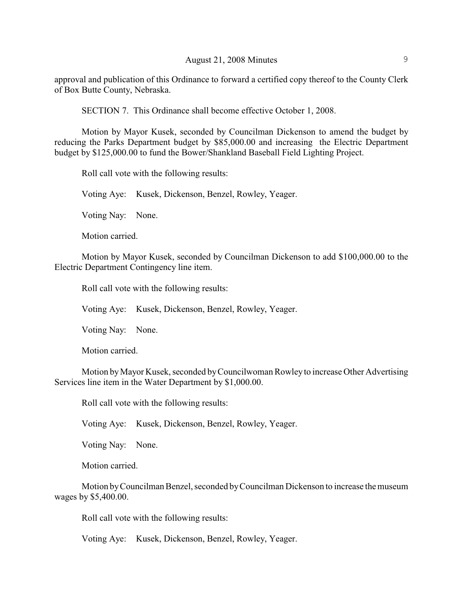approval and publication of this Ordinance to forward a certified copy thereof to the County Clerk of Box Butte County, Nebraska.

SECTION 7. This Ordinance shall become effective October 1, 2008.

Motion by Mayor Kusek, seconded by Councilman Dickenson to amend the budget by reducing the Parks Department budget by \$85,000.00 and increasing the Electric Department budget by \$125,000.00 to fund the Bower/Shankland Baseball Field Lighting Project.

Roll call vote with the following results:

Voting Aye: Kusek, Dickenson, Benzel, Rowley, Yeager.

Voting Nay: None.

Motion carried.

Motion by Mayor Kusek, seconded by Councilman Dickenson to add \$100,000.00 to the Electric Department Contingency line item.

Roll call vote with the following results:

Voting Aye: Kusek, Dickenson, Benzel, Rowley, Yeager.

Voting Nay: None.

Motion carried.

Motion by Mayor Kusek, seconded by Councilwoman Rowley to increase Other Advertising Services line item in the Water Department by \$1,000.00.

Roll call vote with the following results:

Voting Aye: Kusek, Dickenson, Benzel, Rowley, Yeager.

Voting Nay: None.

Motion carried.

Motion by Councilman Benzel, seconded by Councilman Dickenson to increase the museum wages by \$5,400.00.

Roll call vote with the following results:

Voting Aye: Kusek, Dickenson, Benzel, Rowley, Yeager.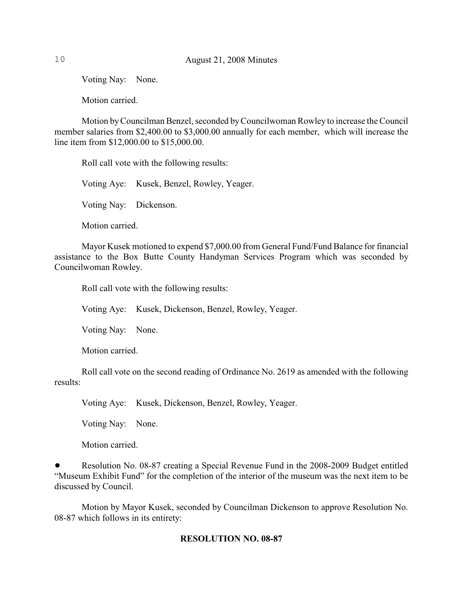Voting Nay: None.

Motion carried.

Motion by Councilman Benzel, seconded by Councilwoman Rowley to increase the Council member salaries from \$2,400.00 to \$3,000.00 annually for each member, which will increase the line item from \$12,000.00 to \$15,000.00.

Roll call vote with the following results:

Voting Aye: Kusek, Benzel, Rowley, Yeager.

Voting Nay: Dickenson.

Motion carried.

Mayor Kusek motioned to expend \$7,000.00 from General Fund/Fund Balance for financial assistance to the Box Butte County Handyman Services Program which was seconded by Councilwoman Rowley.

Roll call vote with the following results:

Voting Aye: Kusek, Dickenson, Benzel, Rowley, Yeager.

Voting Nay: None.

Motion carried.

Roll call vote on the second reading of Ordinance No. 2619 as amended with the following results:

Voting Aye: Kusek, Dickenson, Benzel, Rowley, Yeager.

Voting Nay: None.

Motion carried.

Resolution No. 08-87 creating a Special Revenue Fund in the 2008-2009 Budget entitled "Museum Exhibit Fund" for the completion of the interior of the museum was the next item to be discussed by Council.

Motion by Mayor Kusek, seconded by Councilman Dickenson to approve Resolution No. 08-87 which follows in its entirety:

## **RESOLUTION NO. 08-87**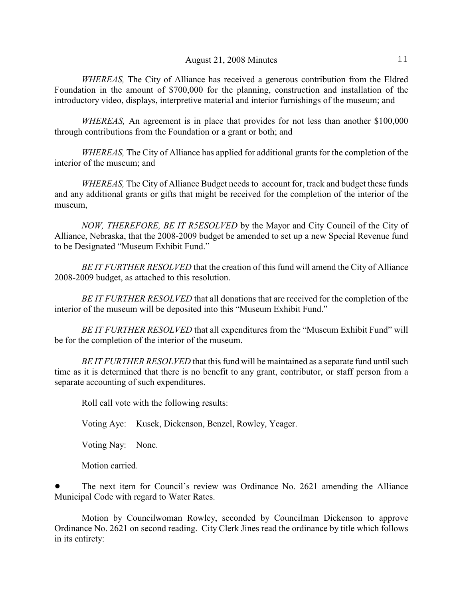*WHEREAS,* The City of Alliance has received a generous contribution from the Eldred Foundation in the amount of \$700,000 for the planning, construction and installation of the introductory video, displays, interpretive material and interior furnishings of the museum; and

*WHEREAS,* An agreement is in place that provides for not less than another \$100,000 through contributions from the Foundation or a grant or both; and

*WHEREAS,* The City of Alliance has applied for additional grants for the completion of the interior of the museum; and

*WHEREAS,* The City of Alliance Budget needs to account for, track and budget these funds and any additional grants or gifts that might be received for the completion of the interior of the museum,

*NOW, THEREFORE, BE IT R5ESOLVED* by the Mayor and City Council of the City of Alliance, Nebraska, that the 2008-2009 budget be amended to set up a new Special Revenue fund to be Designated "Museum Exhibit Fund."

*BE IT FURTHER RESOLVED* that the creation of this fund will amend the City of Alliance 2008-2009 budget, as attached to this resolution.

*BE IT FURTHER RESOLVED* that all donations that are received for the completion of the interior of the museum will be deposited into this "Museum Exhibit Fund."

*BE IT FURTHER RESOLVED* that all expenditures from the "Museum Exhibit Fund" will be for the completion of the interior of the museum.

*BE IT FURTHER RESOLVED* that this fund will be maintained as a separate fund until such time as it is determined that there is no benefit to any grant, contributor, or staff person from a separate accounting of such expenditures.

Roll call vote with the following results:

Voting Aye: Kusek, Dickenson, Benzel, Rowley, Yeager.

Voting Nay: None.

Motion carried.

The next item for Council's review was Ordinance No. 2621 amending the Alliance Municipal Code with regard to Water Rates.

Motion by Councilwoman Rowley, seconded by Councilman Dickenson to approve Ordinance No. 2621 on second reading. City Clerk Jines read the ordinance by title which follows in its entirety: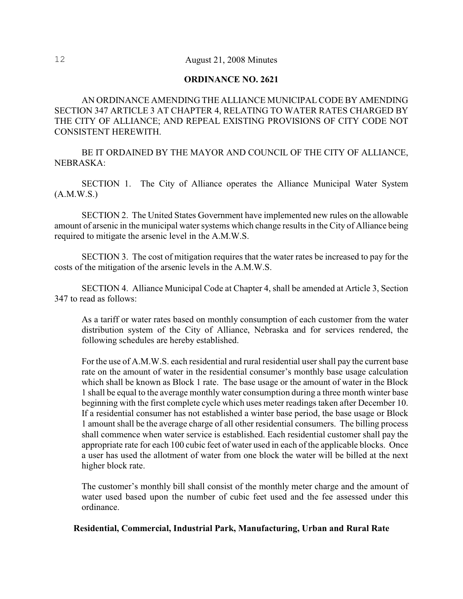#### **ORDINANCE NO. 2621**

AN ORDINANCE AMENDING THE ALLIANCE MUNICIPAL CODE BY AMENDING SECTION 347 ARTICLE 3 AT CHAPTER 4, RELATING TO WATER RATES CHARGED BY THE CITY OF ALLIANCE; AND REPEAL EXISTING PROVISIONS OF CITY CODE NOT CONSISTENT HEREWITH.

BE IT ORDAINED BY THE MAYOR AND COUNCIL OF THE CITY OF ALLIANCE, NEBRASKA:

SECTION 1. The City of Alliance operates the Alliance Municipal Water System (A.M.W.S.)

SECTION 2. The United States Government have implemented new rules on the allowable amount of arsenic in the municipal water systems which change results in the City of Alliance being required to mitigate the arsenic level in the A.M.W.S.

SECTION 3. The cost of mitigation requires that the water rates be increased to pay for the costs of the mitigation of the arsenic levels in the A.M.W.S.

SECTION 4. Alliance Municipal Code at Chapter 4, shall be amended at Article 3, Section 347 to read as follows:

As a tariff or water rates based on monthly consumption of each customer from the water distribution system of the City of Alliance, Nebraska and for services rendered, the following schedules are hereby established.

For the use of A.M.W.S. each residential and rural residential user shall pay the current base rate on the amount of water in the residential consumer's monthly base usage calculation which shall be known as Block 1 rate. The base usage or the amount of water in the Block 1 shall be equal to the average monthly water consumption during a three month winter base beginning with the first complete cycle which uses meter readings taken after December 10. If a residential consumer has not established a winter base period, the base usage or Block 1 amount shall be the average charge of all other residential consumers. The billing process shall commence when water service is established. Each residential customer shall pay the appropriate rate for each 100 cubic feet of water used in each of the applicable blocks. Once a user has used the allotment of water from one block the water will be billed at the next higher block rate.

The customer's monthly bill shall consist of the monthly meter charge and the amount of water used based upon the number of cubic feet used and the fee assessed under this ordinance.

**Residential, Commercial, Industrial Park, Manufacturing, Urban and Rural Rate**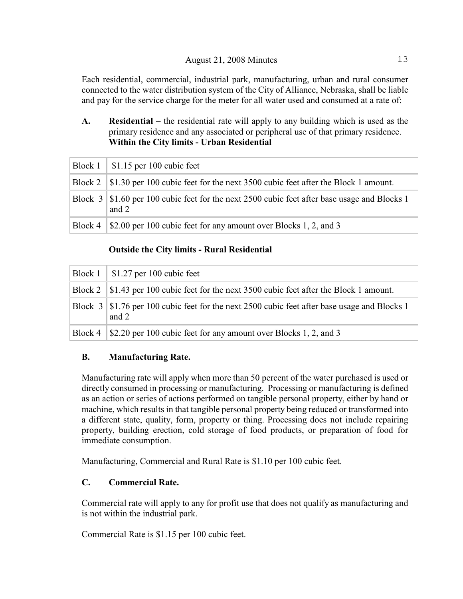Each residential, commercial, industrial park, manufacturing, urban and rural consumer connected to the water distribution system of the City of Alliance, Nebraska, shall be liable and pay for the service charge for the meter for all water used and consumed at a rate of:

## **A. Residential –** the residential rate will apply to any building which is used as the primary residence and any associated or peripheral use of that primary residence. **Within the City limits - Urban Residential**

|         | Block $1 \parallel$ \$1.15 per 100 cubic feet                                                           |
|---------|---------------------------------------------------------------------------------------------------------|
|         | Block 2   \$1.30 per 100 cubic feet for the next 3500 cubic feet after the Block 1 amount.              |
|         | Block 3   \$1.60 per 100 cubic feet for the next 2500 cubic feet after base usage and Blocks 1<br>and 2 |
| Block 4 | S2.00 per 100 cubic feet for any amount over Blocks 1, 2, and 3                                         |

## **Outside the City limits - Rural Residential**

| Block $1 \parallel$ \$1.27 per 100 cubic feet                                                           |
|---------------------------------------------------------------------------------------------------------|
| Block 2   \$1.43 per 100 cubic feet for the next 3500 cubic feet after the Block 1 amount.              |
| Block 3   \$1.76 per 100 cubic feet for the next 2500 cubic feet after base usage and Blocks 1<br>and 2 |
| Block 4 \ \ \ \ \ \ \ 2.20 per 100 cubic feet for any amount over Blocks 1, 2, and 3                    |

## **B. Manufacturing Rate.**

Manufacturing rate will apply when more than 50 percent of the water purchased is used or directly consumed in processing or manufacturing. Processing or manufacturing is defined as an action or series of actions performed on tangible personal property, either by hand or machine, which results in that tangible personal property being reduced or transformed into a different state, quality, form, property or thing. Processing does not include repairing property, building erection, cold storage of food products, or preparation of food for immediate consumption.

Manufacturing, Commercial and Rural Rate is \$1.10 per 100 cubic feet.

## **C. Commercial Rate.**

Commercial rate will apply to any for profit use that does not qualify as manufacturing and is not within the industrial park.

Commercial Rate is \$1.15 per 100 cubic feet.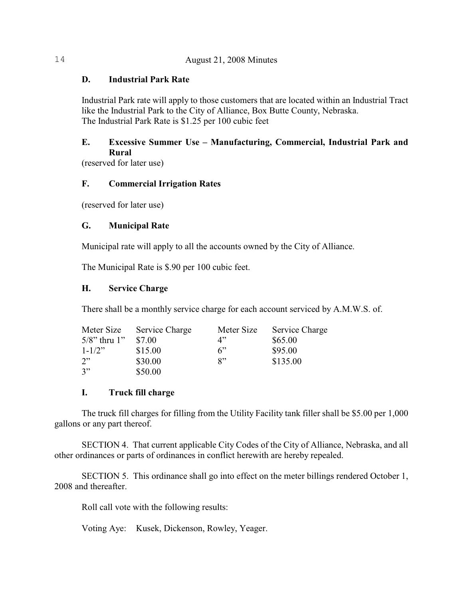## **D. Industrial Park Rate**

Industrial Park rate will apply to those customers that are located within an Industrial Tract like the Industrial Park to the City of Alliance, Box Butte County, Nebraska. The Industrial Park Rate is \$1.25 per 100 cubic feet

## **E. Excessive Summer Use – Manufacturing, Commercial, Industrial Park and Rural**

(reserved for later use)

## **F. Commercial Irrigation Rates**

(reserved for later use)

## **G. Municipal Rate**

Municipal rate will apply to all the accounts owned by the City of Alliance.

The Municipal Rate is \$.90 per 100 cubic feet.

## **H. Service Charge**

There shall be a monthly service charge for each account serviced by A.M.W.S. of.

| Meter Size         | Service Charge | Meter Size | Service Charge |
|--------------------|----------------|------------|----------------|
| $5/8$ " thru $1$ " | \$7.00         | 4"         | \$65.00        |
| $1 - 1/2$          | \$15.00        | 6"         | \$95.00        |
| 2"                 | \$30.00        | $R$ "      | \$135.00       |
| 3"                 | \$50.00        |            |                |

## **I. Truck fill charge**

The truck fill charges for filling from the Utility Facility tank filler shall be \$5.00 per 1,000 gallons or any part thereof.

SECTION 4. That current applicable City Codes of the City of Alliance, Nebraska, and all other ordinances or parts of ordinances in conflict herewith are hereby repealed.

SECTION 5. This ordinance shall go into effect on the meter billings rendered October 1, 2008 and thereafter.

Roll call vote with the following results:

Voting Aye: Kusek, Dickenson, Rowley, Yeager.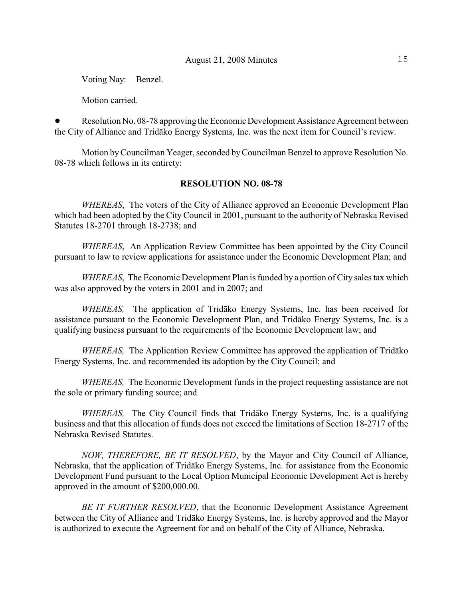Voting Nay: Benzel.

Motion carried.

Resolution No. 08-78 approving the Economic Development Assistance Agreement between the City of Alliance and Tridâko Energy Systems, Inc. was the next item for Council's review.

Motion by Councilman Yeager, seconded byCouncilman Benzel to approve Resolution No. 08-78 which follows in its entirety:

#### **RESOLUTION NO. 08-78**

*WHEREAS*, The voters of the City of Alliance approved an Economic Development Plan which had been adopted by the City Council in 2001, pursuant to the authority of Nebraska Revised Statutes 18-2701 through 18-2738; and

*WHEREAS*, An Application Review Committee has been appointed by the City Council pursuant to law to review applications for assistance under the Economic Development Plan; and

*WHEREAS*, The Economic Development Plan is funded by a portion of City sales tax which was also approved by the voters in 2001 and in 2007; and

*WHEREAS,* The application of Tridâko Energy Systems, Inc. has been received for assistance pursuant to the Economic Development Plan, and Tridâko Energy Systems, Inc. is a qualifying business pursuant to the requirements of the Economic Development law; and

*WHEREAS,* The Application Review Committee has approved the application of Tridâko Energy Systems, Inc. and recommended its adoption by the City Council; and

*WHEREAS,* The Economic Development funds in the project requesting assistance are not the sole or primary funding source; and

*WHEREAS,* The City Council finds that Tridâko Energy Systems, Inc. is a qualifying business and that this allocation of funds does not exceed the limitations of Section 18-2717 of the Nebraska Revised Statutes.

*NOW, THEREFORE, BE IT RESOLVED*, by the Mayor and City Council of Alliance, Nebraska, that the application of Tridâko Energy Systems, Inc. for assistance from the Economic Development Fund pursuant to the Local Option Municipal Economic Development Act is hereby approved in the amount of \$200,000.00.

*BE IT FURTHER RESOLVED*, that the Economic Development Assistance Agreement between the City of Alliance and Tridâko Energy Systems, Inc. is hereby approved and the Mayor is authorized to execute the Agreement for and on behalf of the City of Alliance, Nebraska.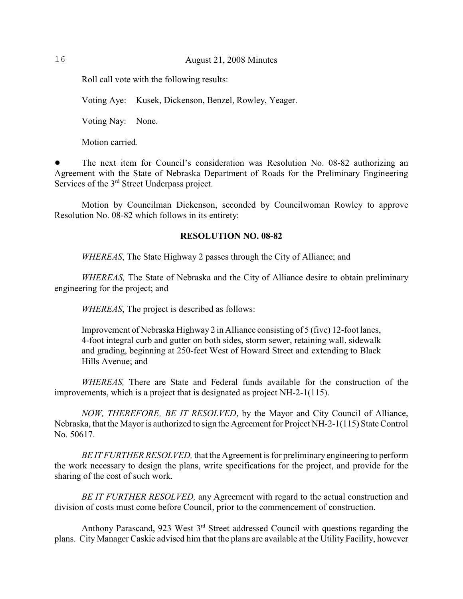Roll call vote with the following results:

Voting Aye: Kusek, Dickenson, Benzel, Rowley, Yeager.

Voting Nay: None.

Motion carried.

! The next item for Council's consideration was Resolution No. 08-82 authorizing an Agreement with the State of Nebraska Department of Roads for the Preliminary Engineering Services of the  $3<sup>rd</sup>$  Street Underpass project.

Motion by Councilman Dickenson, seconded by Councilwoman Rowley to approve Resolution No. 08-82 which follows in its entirety:

#### **RESOLUTION NO. 08-82**

*WHEREAS*, The State Highway 2 passes through the City of Alliance; and

*WHEREAS,* The State of Nebraska and the City of Alliance desire to obtain preliminary engineering for the project; and

*WHEREAS*, The project is described as follows:

Improvement of Nebraska Highway 2 in Alliance consisting of 5 (five) 12-foot lanes, 4-foot integral curb and gutter on both sides, storm sewer, retaining wall, sidewalk and grading, beginning at 250-feet West of Howard Street and extending to Black Hills Avenue; and

*WHEREAS,* There are State and Federal funds available for the construction of the improvements, which is a project that is designated as project NH-2-1(115).

*NOW, THEREFORE, BE IT RESOLVED*, by the Mayor and City Council of Alliance, Nebraska, that the Mayor is authorized to sign the Agreement for Project NH-2-1(115) State Control No. 50617.

*BE IT FURTHER RESOLVED*, that the Agreement is for preliminary engineering to perform the work necessary to design the plans, write specifications for the project, and provide for the sharing of the cost of such work.

*BE IT FURTHER RESOLVED,* any Agreement with regard to the actual construction and division of costs must come before Council, prior to the commencement of construction.

Anthony Parascand, 923 West  $3<sup>rd</sup>$  Street addressed Council with questions regarding the plans. City Manager Caskie advised him that the plans are available at the Utility Facility, however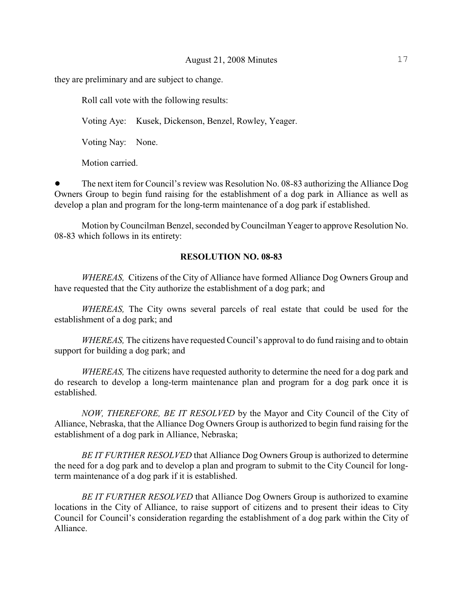they are preliminary and are subject to change.

Roll call vote with the following results:

Voting Aye: Kusek, Dickenson, Benzel, Rowley, Yeager.

Voting Nay: None.

Motion carried.

• The next item for Council's review was Resolution No. 08-83 authorizing the Alliance Dog Owners Group to begin fund raising for the establishment of a dog park in Alliance as well as develop a plan and program for the long-term maintenance of a dog park if established.

Motion by Councilman Benzel, seconded byCouncilman Yeager to approve Resolution No. 08-83 which follows in its entirety:

#### **RESOLUTION NO. 08-83**

*WHEREAS,* Citizens of the City of Alliance have formed Alliance Dog Owners Group and have requested that the City authorize the establishment of a dog park; and

*WHEREAS,* The City owns several parcels of real estate that could be used for the establishment of a dog park; and

*WHEREAS,* The citizens have requested Council's approval to do fund raising and to obtain support for building a dog park; and

*WHEREAS*, The citizens have requested authority to determine the need for a dog park and do research to develop a long-term maintenance plan and program for a dog park once it is established.

*NOW, THEREFORE, BE IT RESOLVED* by the Mayor and City Council of the City of Alliance, Nebraska, that the Alliance Dog Owners Group is authorized to begin fund raising for the establishment of a dog park in Alliance, Nebraska;

*BE IT FURTHER RESOLVED* that Alliance Dog Owners Group is authorized to determine the need for a dog park and to develop a plan and program to submit to the City Council for longterm maintenance of a dog park if it is established.

*BE IT FURTHER RESOLVED* that Alliance Dog Owners Group is authorized to examine locations in the City of Alliance, to raise support of citizens and to present their ideas to City Council for Council's consideration regarding the establishment of a dog park within the City of Alliance.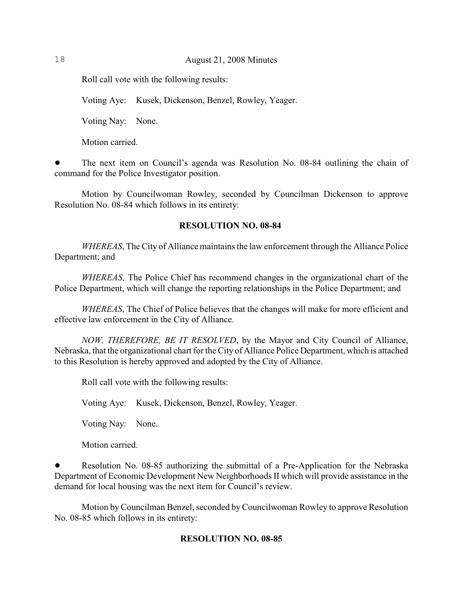Roll call vote with the following results:

Voting Aye: Kusek, Dickenson, Benzel, Rowley, Yeager.

Voting Nay: None.

Motion carried.

! The next item on Council's agenda was Resolution No. 08-84 outlining the chain of command for the Police Investigator position.

Motion by Councilwoman Rowley, seconded by Councilman Dickenson to approve Resolution No. 08-84 which follows in its entirety:

#### **RESOLUTION NO. 08-84**

*WHEREAS*, The City of Alliance maintains the law enforcement through the Alliance Police Department; and

*WHEREAS,* The Police Chief has recommend changes in the organizational chart of the Police Department, which will change the reporting relationships in the Police Department; and

*WHEREAS*, The Chief of Police believes that the changes will make for more efficient and effective law enforcement in the City of Alliance.

*NOW, THEREFORE, BE IT RESOLVED*, by the Mayor and City Council of Alliance, Nebraska, that the organizational chart for the City of Alliance Police Department, which is attached to this Resolution is hereby approved and adopted by the City of Alliance.

Roll call vote with the following results:

Voting Aye: Kusek, Dickenson, Benzel, Rowley, Yeager.

Voting Nay: None.

Motion carried.

Resolution No. 08-85 authorizing the submittal of a Pre-Application for the Nebraska Department of Economic Development New Neighborhoods II which will provide assistance in the demand for local housing was the next item for Council's review.

Motion by Councilman Benzel, seconded byCouncilwoman Rowley to approve Resolution No. 08-85 which follows in its entirety:

#### **RESOLUTION NO. 08-85**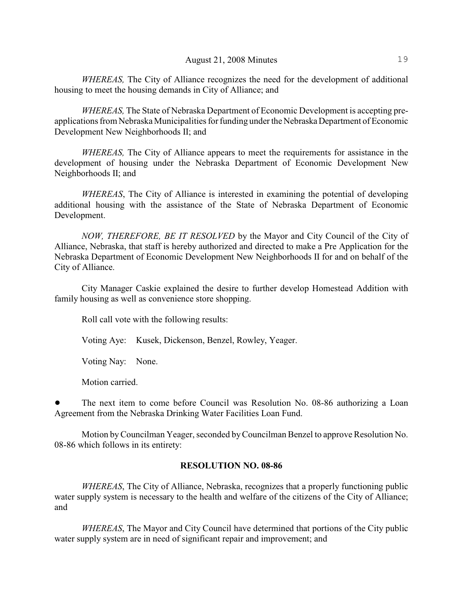*WHEREAS,* The City of Alliance recognizes the need for the development of additional housing to meet the housing demands in City of Alliance; and

*WHEREAS,* The State of Nebraska Department of Economic Development is accepting preapplications from Nebraska Municipalities for funding under the Nebraska Department of Economic Development New Neighborhoods II; and

*WHEREAS,* The City of Alliance appears to meet the requirements for assistance in the development of housing under the Nebraska Department of Economic Development New Neighborhoods II; and

*WHEREAS*, The City of Alliance is interested in examining the potential of developing additional housing with the assistance of the State of Nebraska Department of Economic Development.

*NOW, THEREFORE, BE IT RESOLVED* by the Mayor and City Council of the City of Alliance, Nebraska, that staff is hereby authorized and directed to make a Pre Application for the Nebraska Department of Economic Development New Neighborhoods II for and on behalf of the City of Alliance.

City Manager Caskie explained the desire to further develop Homestead Addition with family housing as well as convenience store shopping.

Roll call vote with the following results:

Voting Aye: Kusek, Dickenson, Benzel, Rowley, Yeager.

Voting Nay: None.

Motion carried.

The next item to come before Council was Resolution No. 08-86 authorizing a Loan Agreement from the Nebraska Drinking Water Facilities Loan Fund.

Motion by Councilman Yeager, seconded by Councilman Benzel to approve Resolution No. 08-86 which follows in its entirety:

#### **RESOLUTION NO. 08-86**

*WHEREAS*, The City of Alliance, Nebraska, recognizes that a properly functioning public water supply system is necessary to the health and welfare of the citizens of the City of Alliance; and

*WHEREAS*, The Mayor and City Council have determined that portions of the City public water supply system are in need of significant repair and improvement; and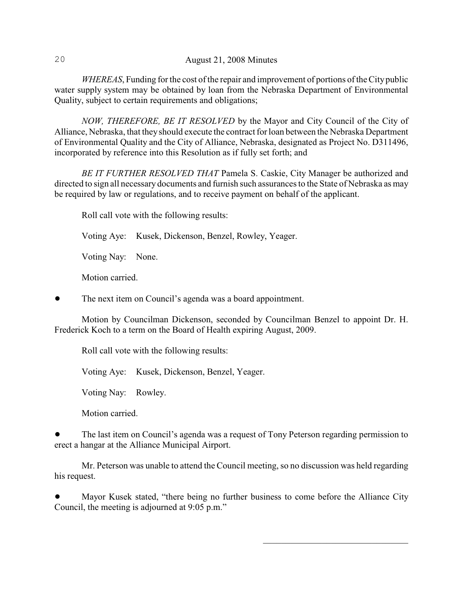*WHEREAS*, Funding for the cost of the repair and improvement of portions of the City public water supply system may be obtained by loan from the Nebraska Department of Environmental Quality, subject to certain requirements and obligations;

*NOW, THEREFORE, BE IT RESOLVED* by the Mayor and City Council of the City of Alliance, Nebraska, that they should execute the contract for loan between the Nebraska Department of Environmental Quality and the City of Alliance, Nebraska, designated as Project No. D311496, incorporated by reference into this Resolution as if fully set forth; and

*BE IT FURTHER RESOLVED THAT* Pamela S. Caskie, City Manager be authorized and directed to sign all necessary documents and furnish such assurances to the State of Nebraska as may be required by law or regulations, and to receive payment on behalf of the applicant.

Roll call vote with the following results:

Voting Aye: Kusek, Dickenson, Benzel, Rowley, Yeager.

Voting Nay: None.

Motion carried.

The next item on Council's agenda was a board appointment.

Motion by Councilman Dickenson, seconded by Councilman Benzel to appoint Dr. H. Frederick Koch to a term on the Board of Health expiring August, 2009.

Roll call vote with the following results:

Voting Aye: Kusek, Dickenson, Benzel, Yeager.

Voting Nay: Rowley.

Motion carried.

! The last item on Council's agenda was a request of Tony Peterson regarding permission to erect a hangar at the Alliance Municipal Airport.

Mr. Peterson was unable to attend the Council meeting, so no discussion was held regarding his request.

! Mayor Kusek stated, "there being no further business to come before the Alliance City Council, the meeting is adjourned at 9:05 p.m."

 $\mathcal{L}_\text{max}$  , and the set of the set of the set of the set of the set of the set of the set of the set of the set of the set of the set of the set of the set of the set of the set of the set of the set of the set of the